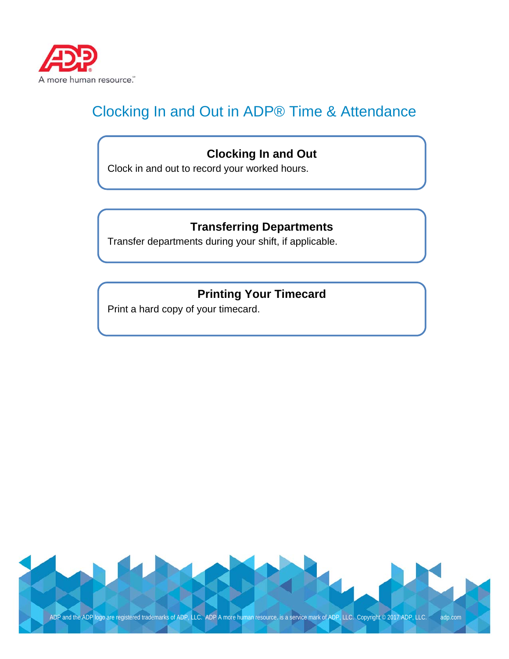

# Clocking In and Out in ADP® Time & Attendance

### **Clocking In and Out**

Clock in and out to record your worked hours.

### **Transferring Departments**

Transfer departments during your shift, if applicable.

### **Printing Your Timecard**

Print a hard copy of your timecard.

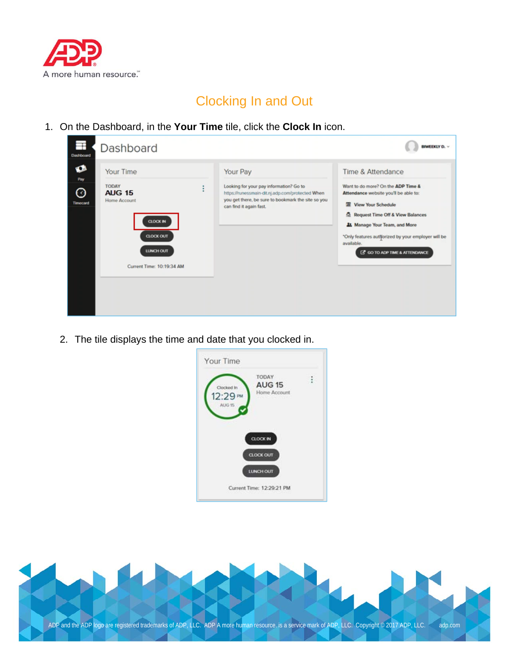

## Clocking In and Out

1. On the Dashboard, in the **Your Time** tile, click the **Clock In** icon.



2. The tile displays the time and date that you clocked in.



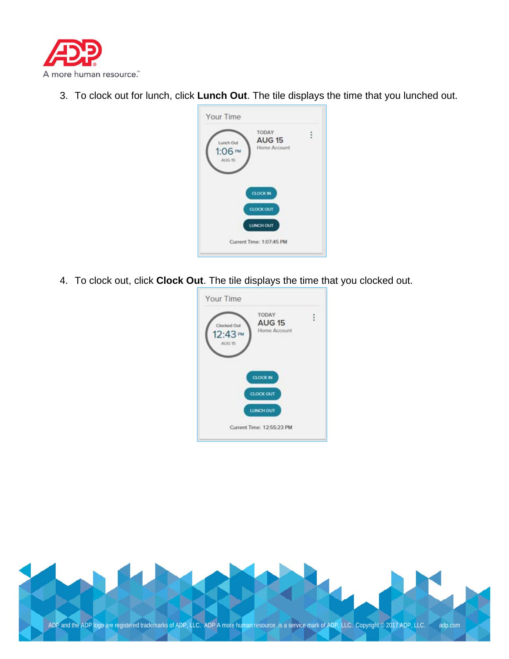

3. To clock out for lunch, click **Lunch Out**. The tile displays the time that you lunched out.



4. To clock out, click **Clock Out**. The tile displays the time that you clocked out.



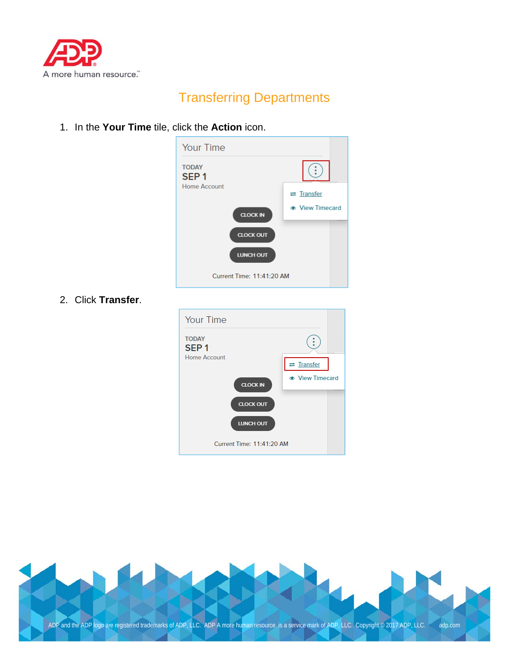

## Transferring Departments

1. In the **Your Time** tile, click the **Action** icon.

| <b>Your Time</b>                 |                             |
|----------------------------------|-----------------------------|
| <b>TODAY</b><br>SEP <sub>1</sub> |                             |
| <b>Home Account</b>              | $\rightleftarrows$ Transfer |
| <b>CLOCK IN</b>                  | • View Timecard             |
| <b>CLOCK OUT</b>                 |                             |
| <b>LUNCH OUT</b>                 |                             |
| Current Time: 11:41:20 AM        |                             |

2. Click **Transfer**.



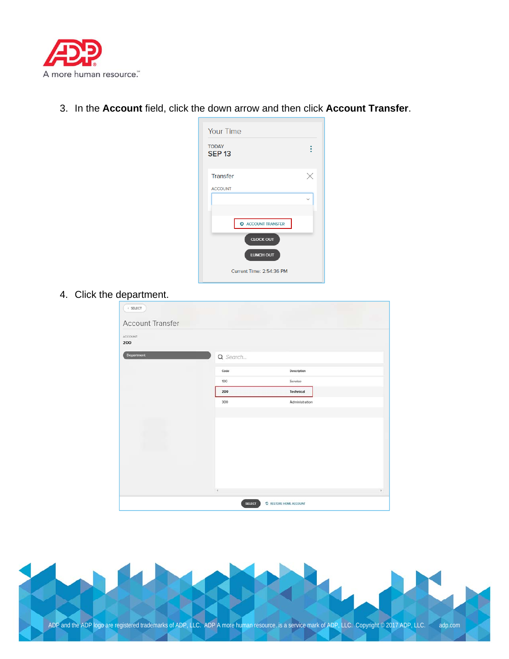

3. In the **Account** field, click the down arrow and then click **Account Transfer**.

| <b>Your Time</b>                                                                              |  |
|-----------------------------------------------------------------------------------------------|--|
| <b>TODAY</b><br><b>SEP 13</b>                                                                 |  |
| <b>Transfer</b>                                                                               |  |
| <b>ACCOUNT</b>                                                                                |  |
|                                                                                               |  |
| <b>O</b> ACCOUNT TRANSFER<br><b>CLOCK OUT</b><br><b>LUNCH OUT</b><br>Current Time: 2:54:36 PM |  |

4. Click the department.

| Q Search |                |  |
|----------|----------------|--|
| Code     | Description    |  |
| 100      | Service        |  |
| 200      | Technical      |  |
| 300      | Administration |  |
|          |                |  |
|          |                |  |
|          |                |  |
|          |                |  |
|          |                |  |
|          |                |  |
|          |                |  |
|          |                |  |
|          |                |  |

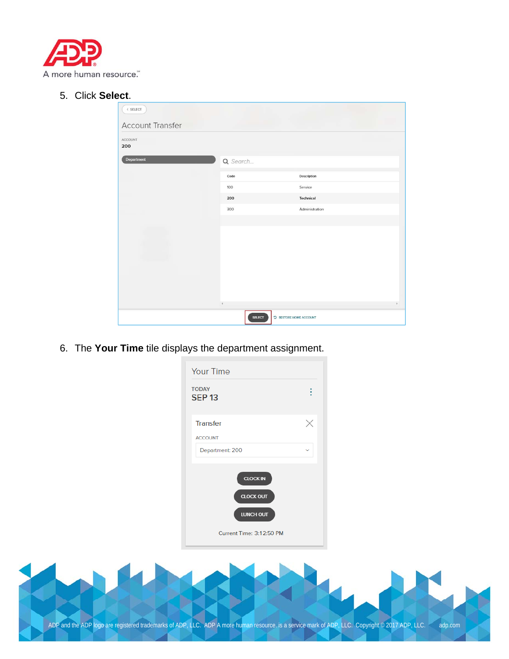

5. Click **Select**.

| < SELECT                |               |                               |  |  |  |  |
|-------------------------|---------------|-------------------------------|--|--|--|--|
| <b>Account Transfer</b> |               |                               |  |  |  |  |
| ACCOUNT<br>200          |               |                               |  |  |  |  |
| Department              | Q Search      |                               |  |  |  |  |
|                         | Code          | Description                   |  |  |  |  |
|                         | 100           | Service                       |  |  |  |  |
|                         | 200           | <b>Technical</b>              |  |  |  |  |
|                         | 300           | Administration                |  |  |  |  |
|                         |               |                               |  |  |  |  |
|                         |               |                               |  |  |  |  |
|                         |               |                               |  |  |  |  |
|                         |               |                               |  |  |  |  |
|                         |               |                               |  |  |  |  |
|                         |               |                               |  |  |  |  |
|                         |               |                               |  |  |  |  |
|                         | $\mathbf{d}$  | $\mathbf{b}$                  |  |  |  |  |
|                         | <b>SELECT</b> | <b>D</b> RESTORE HOME ACCOUNT |  |  |  |  |

6. The **Your Time** tile displays the department assignment.

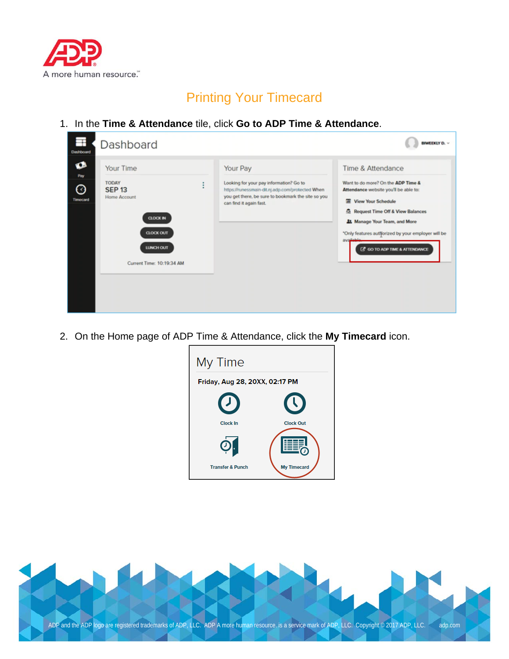

## Printing Your Timecard

1. In the **Time & Attendance** tile, click **Go to ADP Time & Attendance**.



2. On the Home page of ADP Time & Attendance, click the **My Timecard** icon.